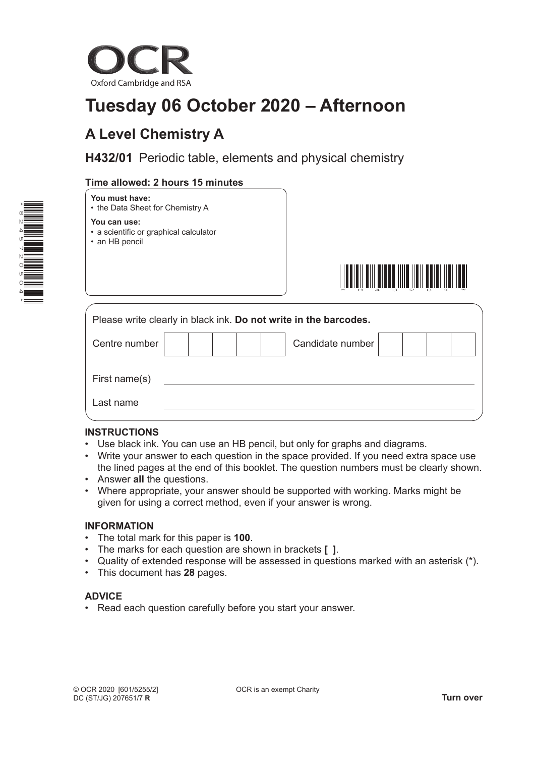

# **Tuesday 06 October 2020 – Afternoon**

## **A Level Chemistry A**

**H432/01** Periodic table, elements and physical chemistry

## **Time allowed: 2 hours 15 minutes**





#### **You can use:**

- a scientific or graphical calculator
- an HB pencil



| Please write clearly in black ink. Do not write in the barcodes. |  |  |  |  |  |                  |  |  |
|------------------------------------------------------------------|--|--|--|--|--|------------------|--|--|
| Centre number                                                    |  |  |  |  |  | Candidate number |  |  |
| First name(s)                                                    |  |  |  |  |  |                  |  |  |
| Last name                                                        |  |  |  |  |  |                  |  |  |

#### **INSTRUCTIONS**

- Use black ink. You can use an HB pencil, but only for graphs and diagrams.
- Write your answer to each question in the space provided. If you need extra space use the lined pages at the end of this booklet. The question numbers must be clearly shown.
- Answer **all** the questions.
- Where appropriate, your answer should be supported with working. Marks might be given for using a correct method, even if your answer is wrong.

#### **INFORMATION**

- The total mark for this paper is **100**.
- The marks for each question are shown in brackets **[ ]**.
- Quality of extended response will be assessed in questions marked with an asterisk (\*).
- This document has **28** pages.

#### **ADVICE**

• Read each question carefully before you start your answer.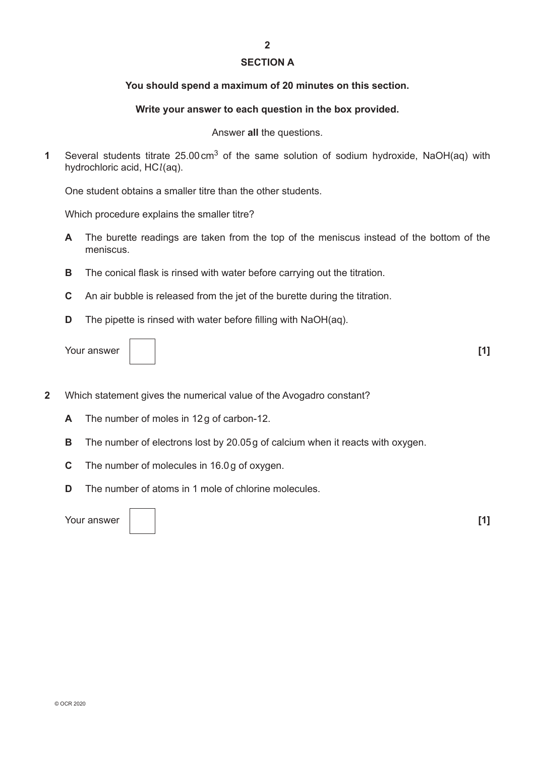#### **SECTION A**

#### **You should spend a maximum of 20 minutes on this section.**

#### **Write your answer to each question in the box provided.**

Answer **all** the questions.

**1** Several students titrate 25.00cm3 of the same solution of sodium hydroxide, NaOH(aq) with hydrochloric acid, HC*l*(aq).

One student obtains a smaller titre than the other students.

Which procedure explains the smaller titre?

- **A** The burette readings are taken from the top of the meniscus instead of the bottom of the meniscus.
- **B** The conical flask is rinsed with water before carrying out the titration.
- **C** An air bubble is released from the jet of the burette during the titration.
- **D** The pipette is rinsed with water before filling with NaOH(aq).

Your answer **[1]**



- **2** Which statement gives the numerical value of the Avogadro constant?
	- **A** The number of moles in 12g of carbon-12.
	- **B** The number of electrons lost by 20.05g of calcium when it reacts with oxygen.
	- **C** The number of molecules in 16.0g of oxygen.
	- **D** The number of atoms in 1 mole of chlorine molecules.

Your answer **[1]**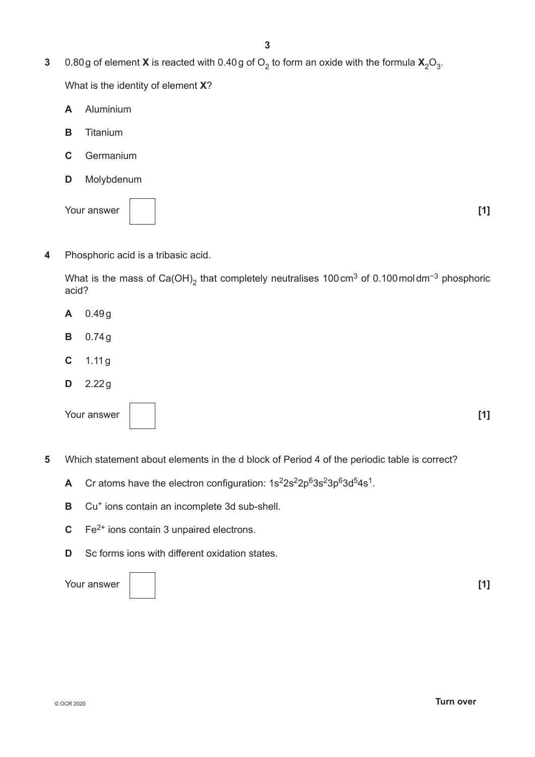**3** 0.80g of element **X** is reacted with 0.40g of  $O_2$  to form an oxide with the formula  $X_2O_3$ .

What is the identity of element **X**?

- **A** Aluminium
- **B** Titanium
- **C** Germanium
- **D** Molybdenum

Your answer **[1] [1]** 

**4** Phosphoric acid is a tribasic acid.

What is the mass of Ca(OH)<sub>2</sub> that completely neutralises 100cm<sup>3</sup> of 0.100moldm<sup>-3</sup> phosphoric acid?

- **A** 0.49g
- **B** 0.74g
- **C** 1.11g
- **D** 2.22g

Your answer **[1] [1]** 

- **5** Which statement about elements in the d block of Period 4 of the periodic table is correct?
	- A Cr atoms have the electron configuration:  $1s^22s^22p^63s^23p^63d^54s^1$ .
	- **B** Cu<sup>+</sup> ions contain an incomplete 3d sub-shell.
	- **C** Fe<sup>2+</sup> ions contain 3 unpaired electrons.
	- **D** Sc forms ions with different oxidation states.

Your answer **[1] [1] [1]** 

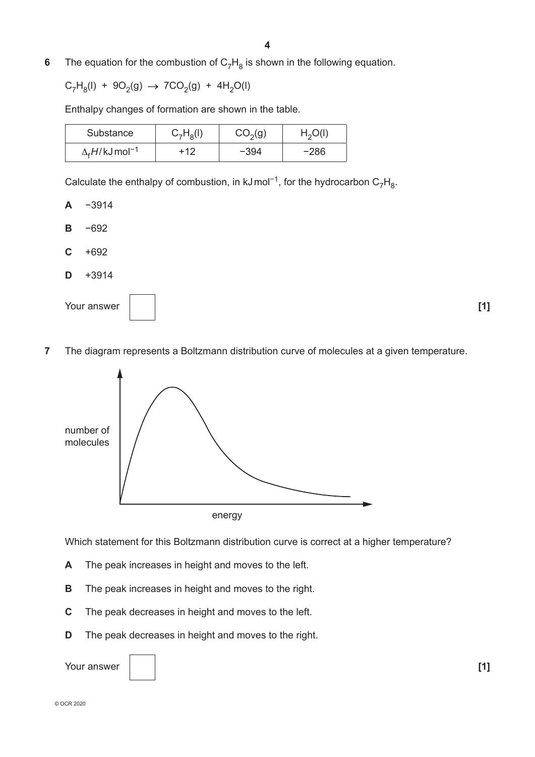**6** The equation for the combustion of  $C_7H_8$  is shown in the following equation.

$$
C_7H_8(I) + 9O_2(g) \rightarrow 7CO_2(g) + 4H_2O(I)
$$

Enthalpy changes of formation are shown in the table.

| Substance                           | $C_7H_8(I)$ | CO <sub>2</sub> (g) | H <sub>2</sub> O(l) |
|-------------------------------------|-------------|---------------------|---------------------|
| $\Delta_f H / kJ$ mol <sup>-1</sup> | +12         | -394                | -286                |

Calculate the enthalpy of combustion, in kJmol<sup>-1</sup>, for the hydrocarbon C<sub>7</sub>H<sub>8</sub>.

**A** −3914

- **B** −692
- **C** +692
- **D** +3914



**7** The diagram represents a Boltzmann distribution curve of molecules at a given temperature.



Which statement for this Boltzmann distribution curve is correct at a higher temperature?

- **A** The peak increases in height and moves to the left.
- **B** The peak increases in height and moves to the right.
- **C** The peak decreases in height and moves to the left.
- **D** The peak decreases in height and moves to the right.

Your answer **[1] [1]** 

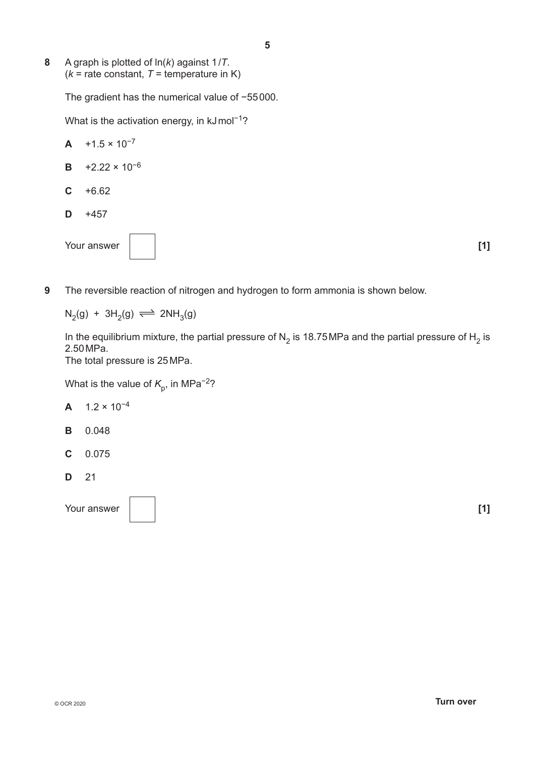**8** A graph is plotted of ln(*k*) against 1/*T*.  $(k =$  rate constant,  $T =$  temperature in K)

The gradient has the numerical value of −55000.

What is the activation energy, in kJmol<sup>-1</sup>?

- $A +1.5 \times 10^{-7}$ **B** +2.22 × 10−6 **C** +6.62  $D + 457$ Your answer **[1] [1]** 
	-
- **9** The reversible reaction of nitrogen and hydrogen to form ammonia is shown below.

 $N_2(g) + 3H_2(g) \rightleftharpoons 2NH_3(g)$ 

In the equilibrium mixture, the partial pressure of N<sub>2</sub> is 18.75MPa and the partial pressure of H<sub>2</sub> is 2.50MPa.

The total pressure is 25MPa.

What is the value of  $K_p$ , in MPa<sup>-2</sup>?

- **A** 1.2 × 10−4
- **B** 0.048
- **C** 0.075
- **D** 21

Your answer **11 11** 

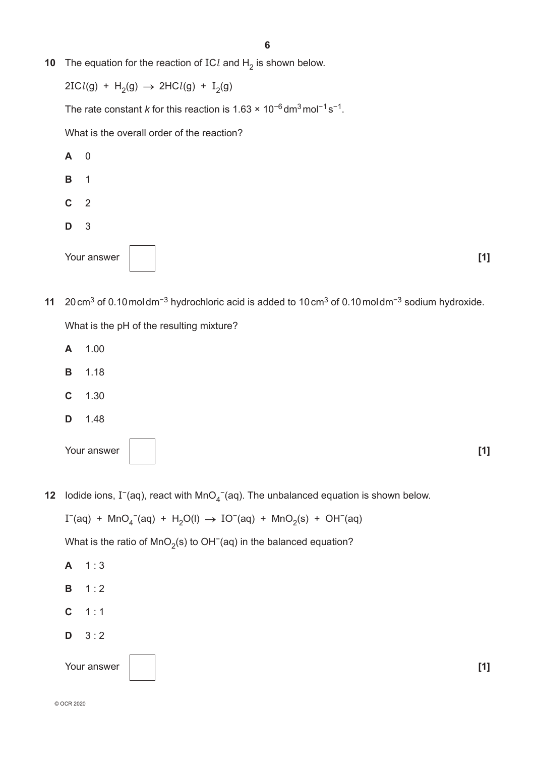**10** The equation for the reaction of ICl and  $H_2$  is shown below.

 $2ICl(g) + H_2(g) \rightarrow 2HCl(g) + I_2(g)$ 

The rate constant *k* for this reaction is 1.63 × 10<sup>-6</sup> dm<sup>3</sup> mol<sup>-1</sup> s<sup>-1</sup>.

What is the overall order of the reaction?



- **11** 20cm3 of 0.10moldm−3 hydrochloric acid is added to 10cm3 of 0.10moldm−3 sodium hydroxide. What is the pH of the resulting mixture?
	- **A** 1.00
	- **B** 1.18
	- **C** 1.30
	- **D** 1.48

| Your answer |  | [1] |
|-------------|--|-----|
|             |  |     |

**12** Iodide ions, I<sup>−</sup>(aq), react with MnO<sub>4</sub><sup>−</sup>(aq). The unbalanced equation is shown below.

 $I^-(aq)$  + MnO<sub>4</sub><sup>-</sup>(aq) + H<sub>2</sub>O(l) → IO<sup>-</sup>(aq) + MnO<sub>2</sub>(s) + OH<sup>-</sup>(aq)

What is the ratio of MnO<sub>2</sub>(s) to OH<sup>-</sup>(aq) in the balanced equation?

**A** 1 : 3 **B** 1 : 2 **C** 1 : 1 **D** 3 : 2 Your answer **[1] [1]**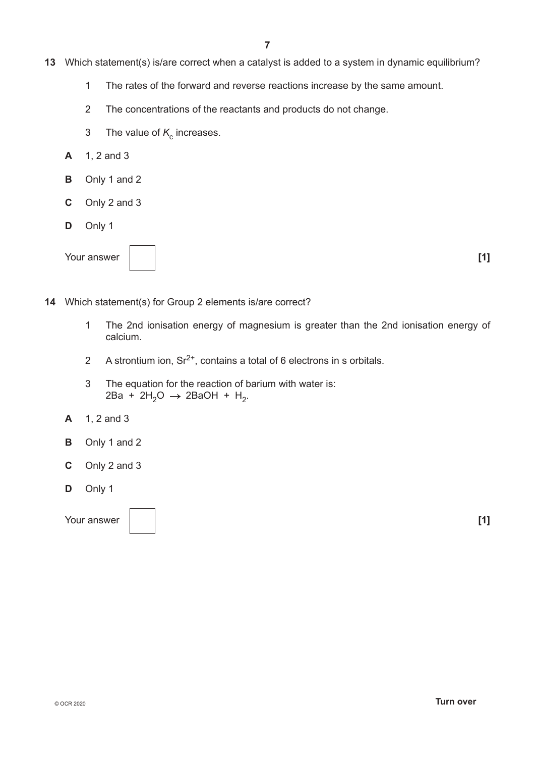- **13** Which statement(s) is/are correct when a catalyst is added to a system in dynamic equilibrium?
	- 1 The rates of the forward and reverse reactions increase by the same amount.
	- 2 The concentrations of the reactants and products do not change.
	- 3 The value of  $K_c$  increases.
	- **A** 1, 2 and 3
	- **B** Only 1 and 2
	- **C** Only 2 and 3
	- **D** Only 1



- **14** Which statement(s) for Group 2 elements is/are correct?
	- 1 The 2nd ionisation energy of magnesium is greater than the 2nd ionisation energy of calcium.
	- 2 A strontium ion,  $\text{Sr}^{2+}$ , contains a total of 6 electrons in s orbitals.
	- 3 The equation for the reaction of barium with water is:  $2Ba + 2H_2O \rightarrow 2BaOH + H_2.$
	- **A** 1, 2 and 3
	- **B** Only 1 and 2
	- **C** Only 2 and 3
	- **D** Only 1

Your answer **[1] [1]**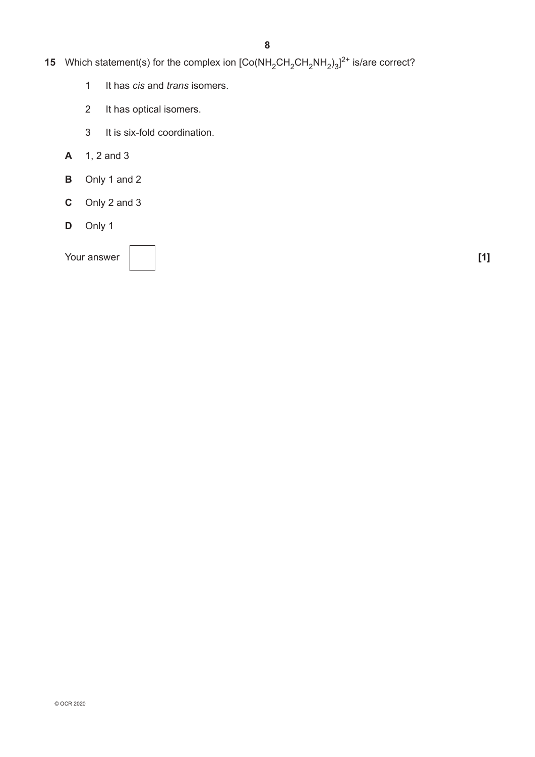- **15** Which statement(s) for the complex ion  $\text{[Co(NH}_{2}CH_{2}CH_{2}NH_{2})_{3}]^{2+}$  is/are correct?
	- 1 It has *cis* and *trans* isomers.
	- 2 It has optical isomers.
	- 3 It is six-fold coordination.
	- **A** 1, 2 and 3
	- **B** Only 1 and 2
	- **C** Only 2 and 3
	- **D** Only 1

Your answer **1 1 1**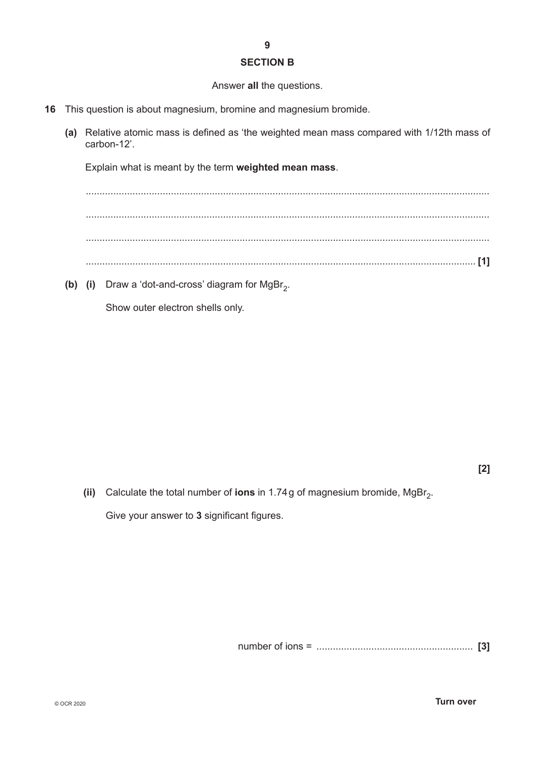#### **SECTION B**

#### Answer **all** the questions.

- **16** This question is about magnesium, bromine and magnesium bromide.
	- **(a)** Relative atomic mass is defined as 'the weighted mean mass compared with 1/12th mass of carbon-12'.

Explain what is meant by the term **weighted mean mass**.

................................................................................................................................................... ................................................................................................................................................... ................................................................................................................................................... .............................................................................................................................................. **[1]**

**(b)** (i) Draw a 'dot-and-cross' diagram for  $MgBr<sub>2</sub>$ .

Show outer electron shells only.

**(ii)** Calculate the total number of **ions** in 1.74g of magnesium bromide, MgBr<sub>2</sub>. Give your answer to **3** significant figures.

number of ions = ......................................................... **[3]**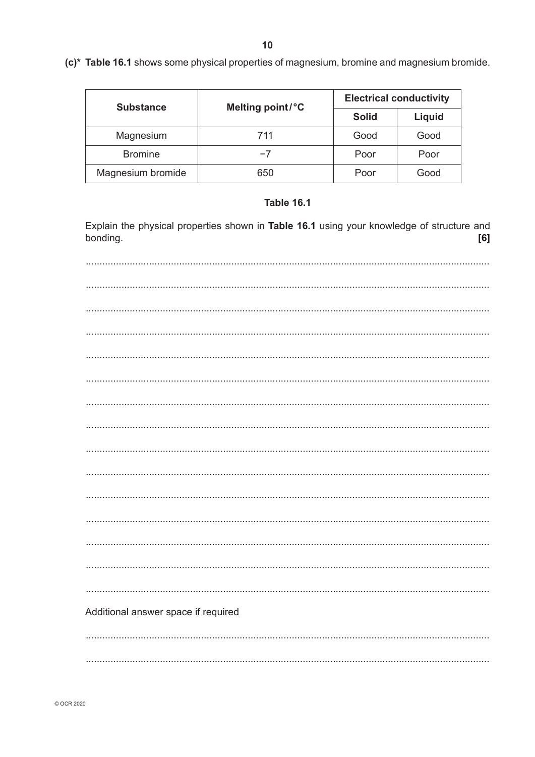$10$ 

| <b>Substance</b>  | Melting point/°C |              | <b>Electrical conductivity</b> |
|-------------------|------------------|--------------|--------------------------------|
|                   |                  | <b>Solid</b> |                                |
| Magnesium         | 711              | Good         | Good                           |
| <b>Bromine</b>    | $-7$             | Poor         | Poor                           |
| Magnesium bromide | 650              | Poor         | Good                           |

## **Table 16.1**

Explain the physical properties shown in Table 16.1 using your knowledge of structure and bonding.  $[6]$ 

| Additional answer space if required |
|-------------------------------------|
|                                     |
|                                     |

© OCR 2020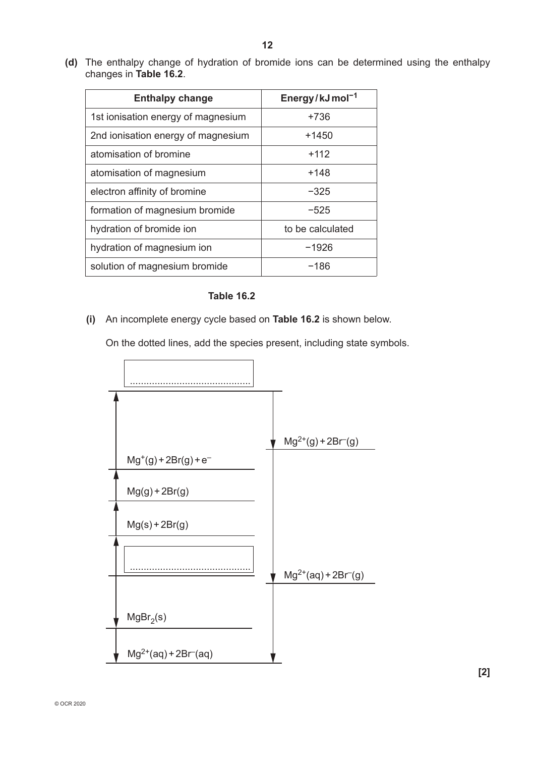**(d)** The enthalpy change of hydration of bromide ions can be determined using the enthalpy changes in **Table 16.2**.

| <b>Enthalpy change</b>             | Energy/kJmol <sup>-1</sup> |
|------------------------------------|----------------------------|
| 1st ionisation energy of magnesium | +736                       |
| 2nd ionisation energy of magnesium | +1450                      |
| atomisation of bromine             | $+112$                     |
| atomisation of magnesium           | +148                       |
| electron affinity of bromine       | $-325$                     |
| formation of magnesium bromide     | $-525$                     |
| hydration of bromide ion           | to be calculated           |
| hydration of magnesium ion         | -1926                      |
| solution of magnesium bromide      | -186                       |

#### **Table 16.2**

 **(i)** An incomplete energy cycle based on **Table 16.2** is shown below.

On the dotted lines, add the species present, including state symbols.

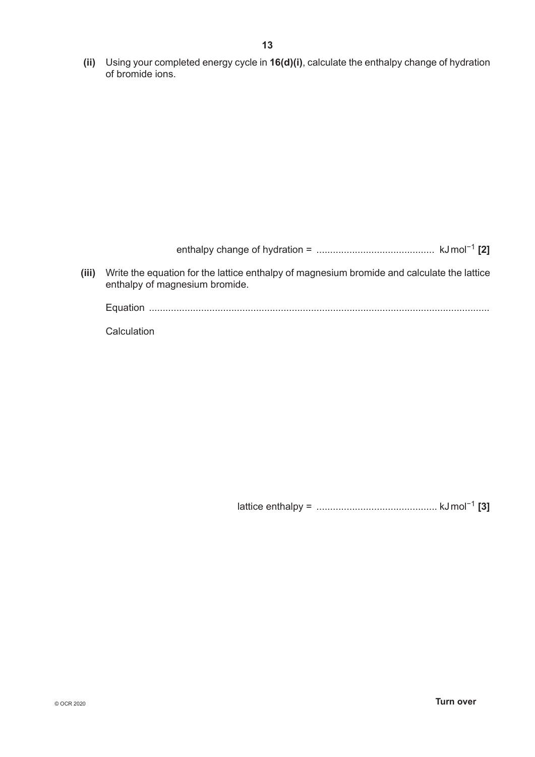**(ii)** Using your completed energy cycle in **16(d)(i)**, calculate the enthalpy change of hydration of bromide ions.

enthalpy change of hydration = ........................................... kJmol−1 **[2]**

 **(iii)** Write the equation for the lattice enthalpy of magnesium bromide and calculate the lattice enthalpy of magnesium bromide.

Equation ............................................................................................................................

Calculation

lattice enthalpy = ............................................ kJmol−1 **[3]**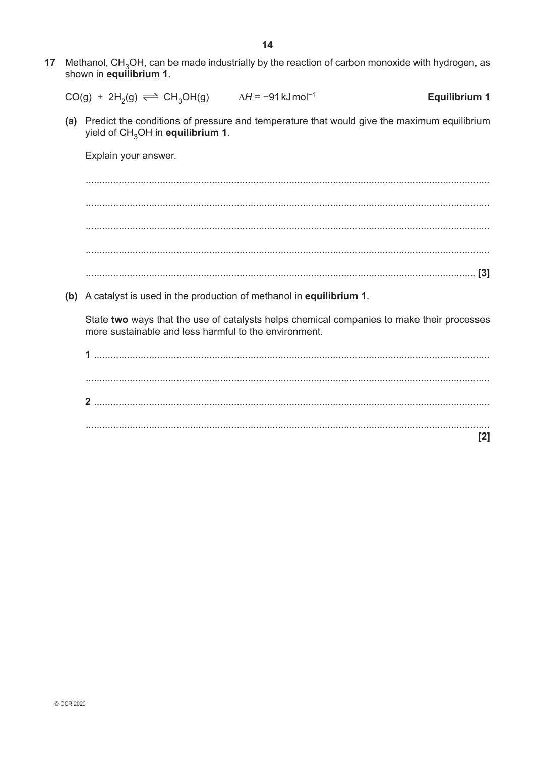17 Methanol, CH<sub>3</sub>OH, can be made industrially by the reaction of carbon monoxide with hydrogen, as shown in equilibrium 1.

$$
CO(g) + 2H_2(g) \implies CH_3OH(g) \qquad \Delta H = -91 \,\text{kJ}\,\text{mol}^{-1} \qquad \text{Equilibrium 1}
$$

(a) Predict the conditions of pressure and temperature that would give the maximum equilibrium yield of CH<sub>2</sub>OH in equilibrium 1.

Explain your answer.

(b) A catalyst is used in the production of methanol in equilibrium 1.

State two ways that the use of catalysts helps chemical companies to make their processes more sustainable and less harmful to the environment.

| -1 |  |  |  |
|----|--|--|--|
|    |  |  |  |
|    |  |  |  |
| າ  |  |  |  |
|    |  |  |  |
|    |  |  |  |
|    |  |  |  |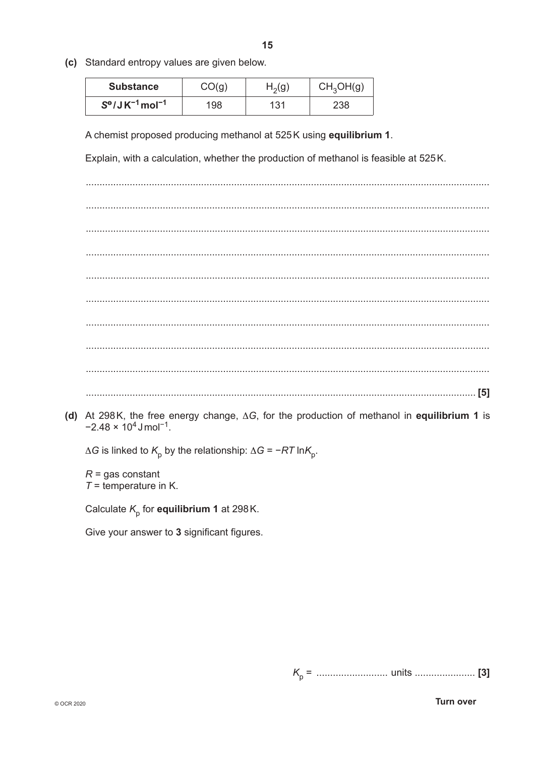- 15
- (c) Standard entropy values are given below.

| <b>Substance</b>                      | CO(q) | $H_2(g)$ | CH <sub>3</sub> OH(g) |
|---------------------------------------|-------|----------|-----------------------|
| $S^{\circ}/JK^{-1}$ mol <sup>-1</sup> | 198   | 131      | 238                   |

A chemist proposed producing methanol at 525K using equilibrium 1.

Explain, with a calculation, whether the production of methanol is feasible at 525K.

(d) At 298K, the free energy change,  $\Delta G$ , for the production of methanol in equilibrium 1 is  $-2.48 \times 10^4$  J mol<sup>-1</sup>.

 $\Delta G$  is linked to  $K_0$  by the relationship:  $\Delta G = -RT \ln K_0$ .

 $R =$  gas constant  $T =$  temperature in K.

Calculate  $K_{\text{p}}$  for equilibrium 1 at 298K.

Give your answer to 3 significant figures.

**Turn over**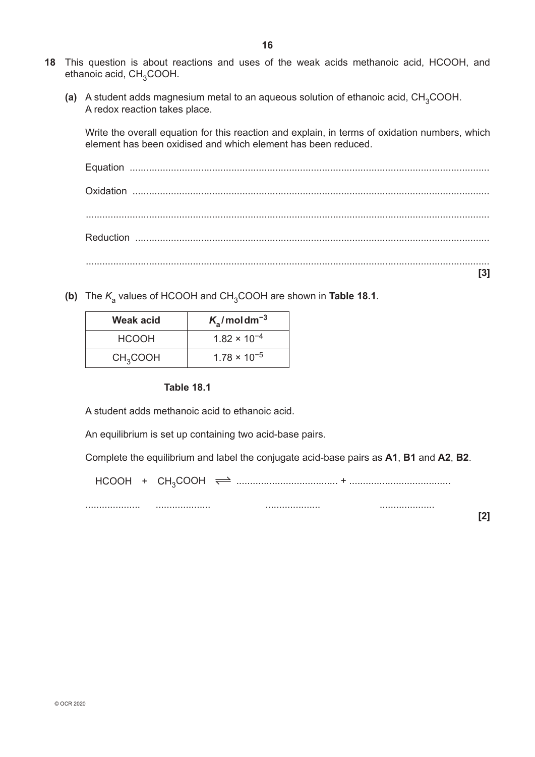- **18** This question is about reactions and uses of the weak acids methanoic acid, HCOOH, and ethanoic acid, CH<sub>3</sub>COOH.
	- **(a)** A student adds magnesium metal to an aqueous solution of ethanoic acid, CH<sub>3</sub>COOH. A redox reaction takes place.

Write the overall equation for this reaction and explain, in terms of oxidation numbers, which element has been oxidised and which element has been reduced.

**(b)** The  $K_a$  values of HCOOH and CH<sub>3</sub>COOH are shown in **Table 18.1**.

| Weak acid            | $K_a$ /moldm <sup>-3</sup> |
|----------------------|----------------------------|
| <b>HCOOH</b>         | $1.82 \times 10^{-4}$      |
| CH <sub>3</sub> COOH | $1.78 \times 10^{-5}$      |

#### **Table 18.1**

A student adds methanoic acid to ethanoic acid.

An equilibrium is set up containing two acid-base pairs.

Complete the equilibrium and label the conjugate acid-base pairs as **A1**, **B1** and **A2**, **B2**.

**[2]**

HCOOH + CH3COOH ..................................... + .....................................

.................... .................... .................... ....................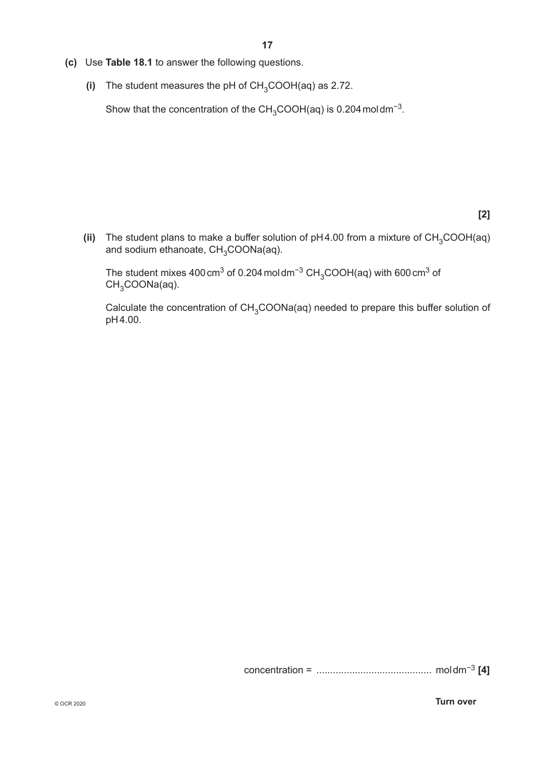- **(c)** Use **Table 18.1** to answer the following questions.
	- **(i)** The student measures the pH of  $CH<sub>3</sub>COOH(aq)$  as 2.72.

Show that the concentration of the  $CH_3COOH(aq)$  is 0.204 moldm<sup>-3</sup>.

## **[2]**

(ii) The student plans to make a buffer solution of  $pH4.00$  from a mixture of  $CH_3COOH(aq)$ and sodium ethanoate,  $CH<sub>3</sub>COONa(aq)$ .

The student mixes 400 cm<sup>3</sup> of 0.204 moldm<sup>-3</sup> CH<sub>3</sub>COOH(aq) with 600 cm<sup>3</sup> of  $CH<sub>3</sub>COONa(aq)$ .

Calculate the concentration of CH<sub>3</sub>COONa(aq) needed to prepare this buffer solution of pH4.00.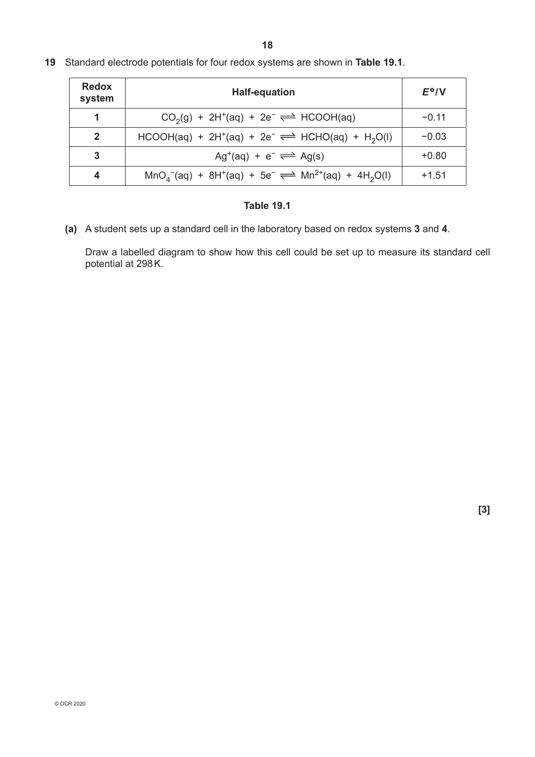| <b>Redox</b><br>system | <b>Half-equation</b>                                              | $E^{\Theta}/V$ |
|------------------------|-------------------------------------------------------------------|----------------|
|                        | $CO2(g) + 2H+(aq) + 2e- \rightleftharpoons HCOOH(aq)$             | $-0.11$        |
| $\mathbf{2}$           | $HCOOH(aq) + 2H+(aq) + 2e- \rightleftharpoons HCHO(aq) + H2O(l)$  | $-0.03$        |
| 3                      | $Ag^+(aq) + e^- \rightleftharpoons Ag(s)$                         | $+0.80$        |
|                        | $MnO4-(aq) + 8H+(aq) + 5e- \rightleftharpoons Mn2+(aq) + 4H2O(l)$ | $+1.51$        |

**19** Standard electrode potentials for four redox systems are shown in **Table 19.1**.

## **Table 19.1**

**(a)** A student sets up a standard cell in the laboratory based on redox systems **3** and **4**.

Draw a labelled diagram to show how this cell could be set up to measure its standard cell potential at 298K.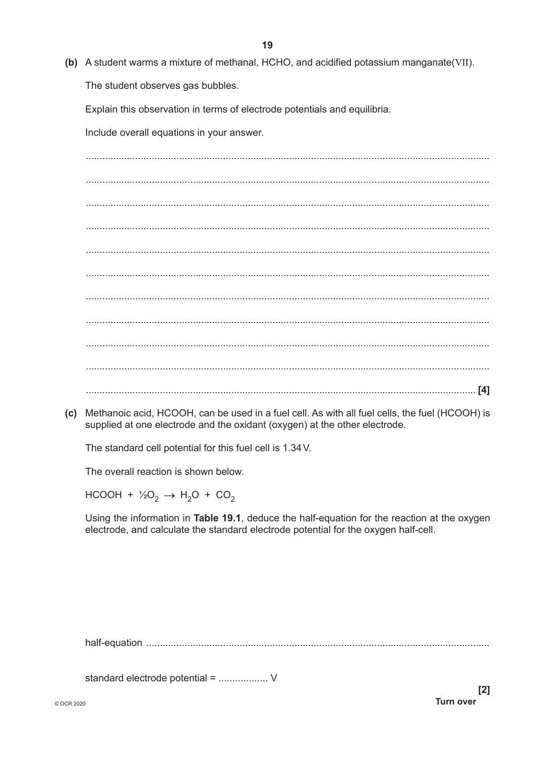(b) A student warms a mixture of methanal, HCHO, and acidified potassium manganate (VII). The student observes gas bubbles.

Explain this observation in terms of electrode potentials and equilibria.

Include overall equations in your answer.

(c) Methanoic acid, HCOOH, can be used in a fuel cell. As with all fuel cells, the fuel (HCOOH) is supplied at one electrode and the oxidant (oxygen) at the other electrode.

The standard cell potential for this fuel cell is 1.34V.

The overall reaction is shown below.

HCOOH +  $\frac{1}{2}O_2 \rightarrow H_2O$  + CO<sub>2</sub>

Using the information in Table 19.1, deduce the half-equation for the reaction at the oxygen electrode, and calculate the standard electrode potential for the oxygen half-cell.

standard electrode potential = .................. V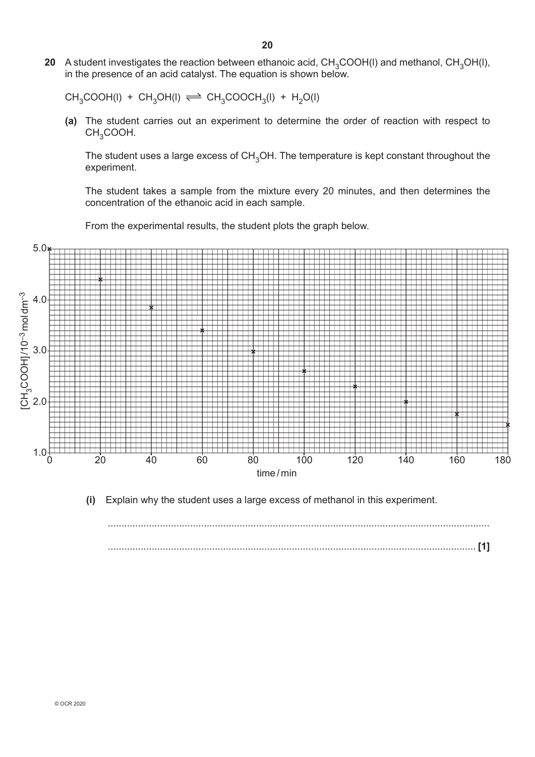**20** A student investigates the reaction between ethanoic acid,  $CH_3COOH(I)$  and methanol,  $CH_3OH(I)$ , in the presence of an acid catalyst. The equation is shown below.

 $CH_3COOH(I) + CH_3OH(I) \rightleftharpoons CH_3COOCH_3(I) + H_2O(I)$ 

**(a)** The student carries out an experiment to determine the order of reaction with respect to CH<sub>3</sub>COOH.

The student uses a large excess of CH<sub>3</sub>OH. The temperature is kept constant throughout the experiment.

The student takes a sample from the mixture every 20 minutes, and then determines the concentration of the ethanoic acid in each sample.

From the experimental results, the student plots the graph below.



 **(i)** Explain why the student uses a large excess of methanol in this experiment.

........................................................................................................................................... ...................................................................................................................................... **[1]**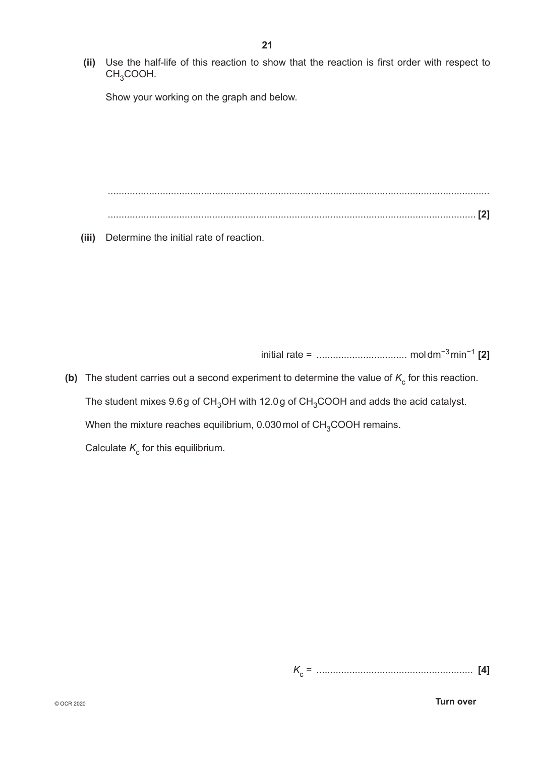**21**

Show your working on the graph and below.

........................................................................................................................................... ...................................................................................................................................... **[2]**

 **(iii)** Determine the initial rate of reaction.

initial rate = ................................. moldm−3min−1 **[2]**

**(b)** The student carries out a second experiment to determine the value of  $K_c$  for this reaction. The student mixes 9.6g of CH<sub>3</sub>OH with 12.0g of CH<sub>3</sub>COOH and adds the acid catalyst. When the mixture reaches equilibrium, 0.030 mol of CH<sub>3</sub>COOH remains. Calculate  $K_c$  for this equilibrium.

*K*c = ......................................................... **[4]**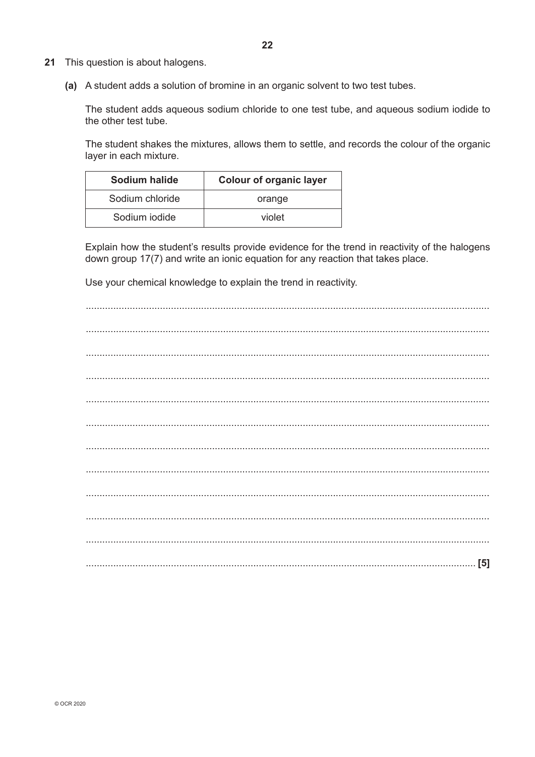- 21 This question is about halogens.
	- (a) A student adds a solution of bromine in an organic solvent to two test tubes.

The student adds aqueous sodium chloride to one test tube, and aqueous sodium iodide to the other test tube.

The student shakes the mixtures, allows them to settle, and records the colour of the organic layer in each mixture.

| Sodium halide   | <b>Colour of organic layer</b> |
|-----------------|--------------------------------|
| Sodium chloride | orange                         |
| Sodium jodide   | violet                         |

Explain how the student's results provide evidence for the trend in reactivity of the halogens down group 17(7) and write an ionic equation for any reaction that takes place.

Use your chemical knowledge to explain the trend in reactivity.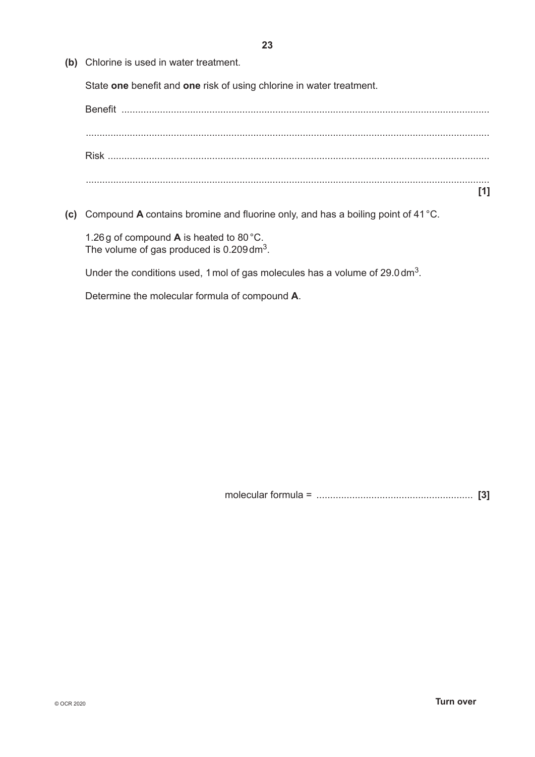**(b)** Chlorine is used in water treatment.

State **one** benefit and **one** risk of using chlorine in water treatment.



**(c)** Compound **A** contains bromine and fluorine only, and has a boiling point of 41°C.

1.26g of compound **A** is heated to 80°C. The volume of gas produced is 0.209 dm<sup>3</sup>.

Under the conditions used, 1 mol of gas molecules has a volume of 29.0 dm<sup>3</sup>.

Determine the molecular formula of compound **A**.

molecular formula = ......................................................... **[3]**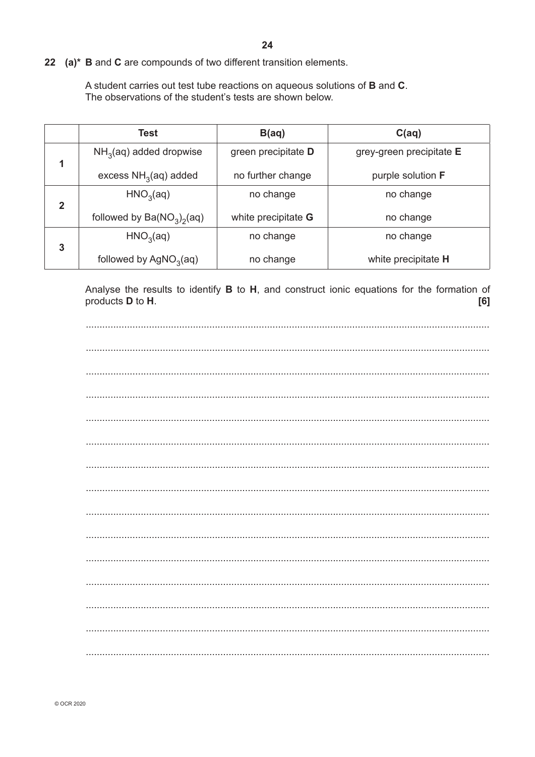22 (a)\* B and C are compounds of two different transition elements.

A student carries out test tube reactions on aqueous solutions of B and C. The observations of the student's tests are shown below.

|              | Test                         | B(aq)               | C(aq)                    |
|--------------|------------------------------|---------------------|--------------------------|
| 1            | $NH3(aq)$ added dropwise     | green precipitate D | grey-green precipitate E |
|              | excess $NH3(aq)$ added       | no further change   | purple solution F        |
| $\mathbf{2}$ | HNO <sub>3</sub> (aq)        | no change           | no change                |
|              | followed by $Ba(NO_3)_2(aq)$ | white precipitate G | no change                |
| 3            | HNO <sub>3</sub> (aq)        | no change           | no change                |
|              | followed by $AgNO3(aq)$      | no change           | white precipitate H      |

Analyse the results to identify B to H, and construct ionic equations for the formation of products **D** to H.  $[6]$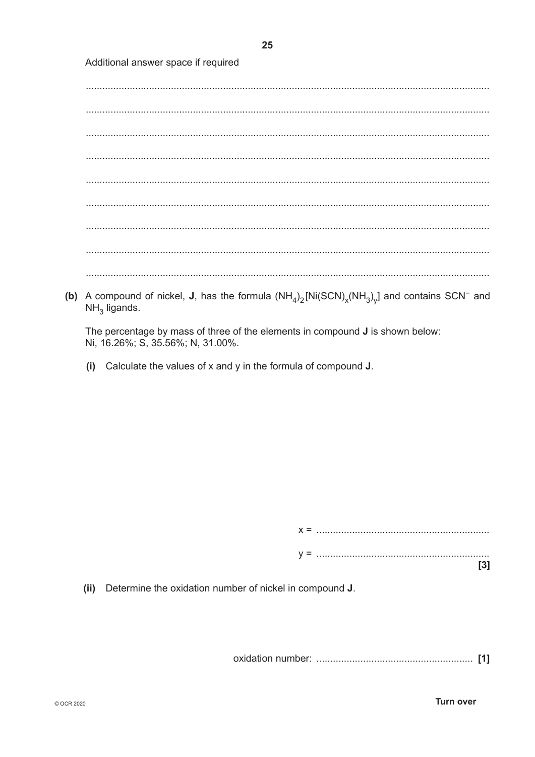Additional answer space if required

(b) A compound of nickel, J, has the formula  $(NH_4)_2$ [Ni(SCN)<sub>x</sub>(NH<sub>3</sub>)<sub>y</sub>] and contains SCN<sup>-</sup> and  $NH<sub>3</sub>$  ligands.

The percentage by mass of three of the elements in compound **J** is shown below: Ni, 16.26%; S, 35.56%; N, 31.00%.

(i) Calculate the values of x and y in the formula of compound J.

 $[3]$ 

Determine the oxidation number of nickel in compound J.  $(ii)$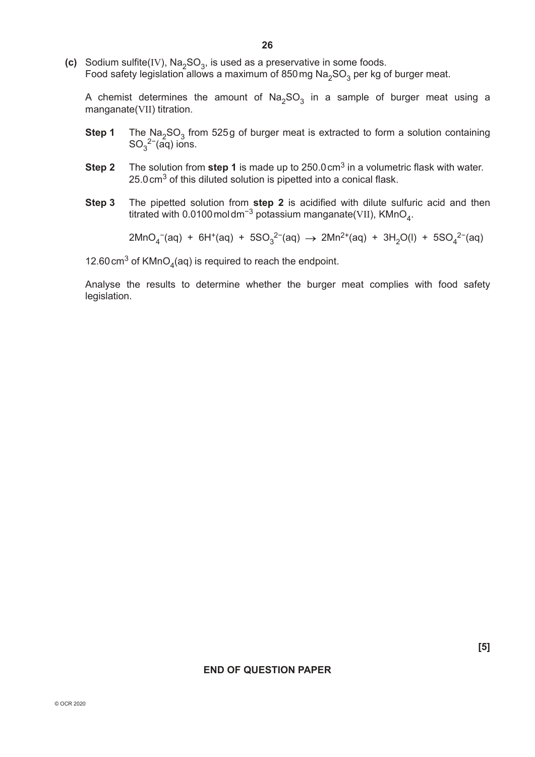**(c)** Sodium sulfite(IV), Na<sub>2</sub>SO<sub>3</sub>, is used as a preservative in some foods. Food safety legislation allows a maximum of 850 mg Na<sub>2</sub>SO<sub>3</sub> per kg of burger meat.

A chemist determines the amount of  $Na<sub>2</sub>SO<sub>3</sub>$  in a sample of burger meat using a manganate(VII) titration.

- **Step 1** The Na<sub>2</sub>SO<sub>3</sub> from 525g of burger meat is extracted to form a solution containing  $SO_3^2$ <sup>-</sup>(aq) ions.
	- **Step 2** The solution from step 1 is made up to 250.0 cm<sup>3</sup> in a volumetric flask with water. 25.0 cm<sup>3</sup> of this diluted solution is pipetted into a conical flask.
	- **Step 3** The pipetted solution from **step 2** is acidified with dilute sulfuric acid and then titrated with 0.0100 moldm<sup>-3</sup> potassium manganate(VII), KMnO<sub>4</sub>.

2MnO<sub>4</sub><sup>−</sup>(aq) + 6H<sup>+</sup>(aq) + 5SO<sub>3</sub><sup>2−</sup>(aq) → 2Mn<sup>2+</sup>(aq) + 3H<sub>2</sub>O(l) + 5SO<sub>4</sub><sup>2−</sup>(aq)

12.60 cm<sup>3</sup> of KMnO<sub>4</sub>(aq) is required to reach the endpoint.

Analyse the results to determine whether the burger meat complies with food safety legislation.

#### **END OF QUESTION PAPER**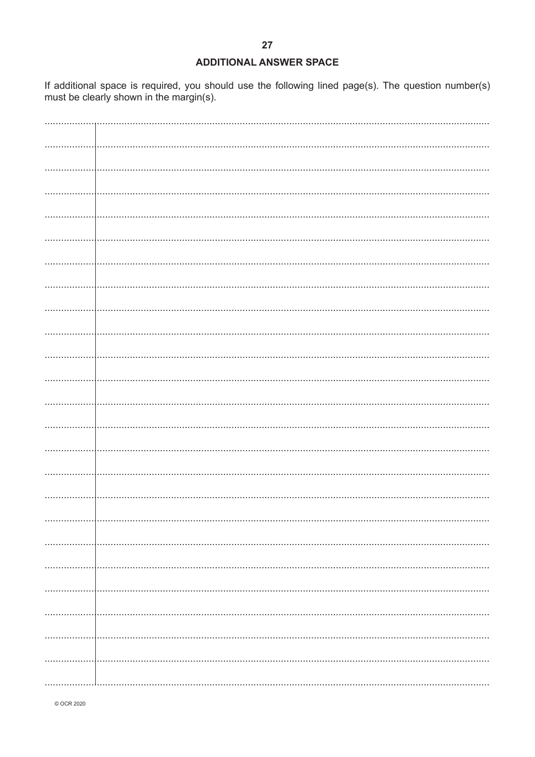#### **ADDITIONAL ANSWER SPACE**

If additional space is required, you should use the following lined page(s). The question number(s) must be clearly shown in the margin(s).

| . | . <b>.</b> |
|---|------------|
|   |            |
|   |            |
|   |            |
|   |            |

© OCR 2020